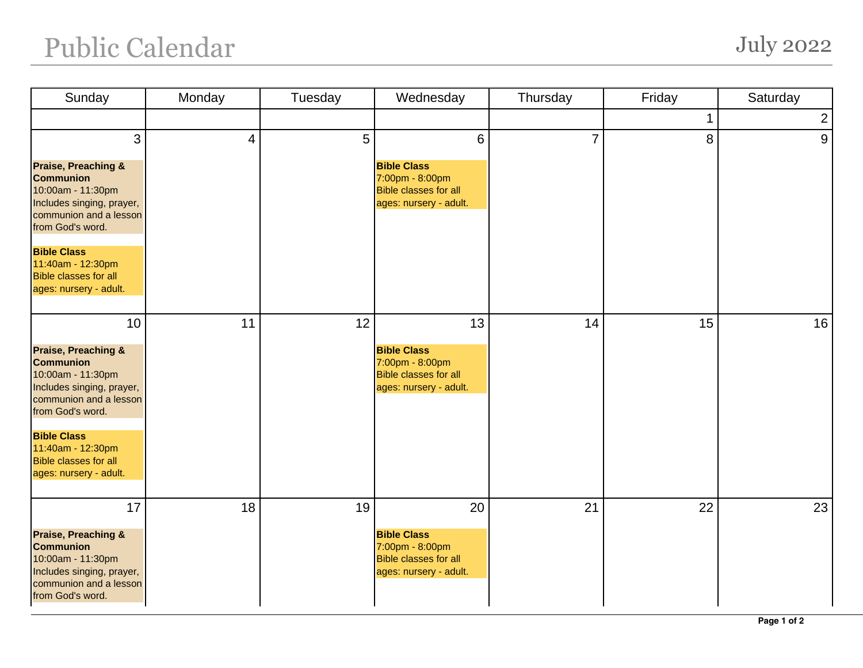## Public Calendar July 2022

| Sunday                                                                                                                                                                                                                                                        | Monday | Tuesday | Wednesday                                                                                                         | Thursday       | Friday      | Saturday       |
|---------------------------------------------------------------------------------------------------------------------------------------------------------------------------------------------------------------------------------------------------------------|--------|---------|-------------------------------------------------------------------------------------------------------------------|----------------|-------------|----------------|
|                                                                                                                                                                                                                                                               |        |         |                                                                                                                   |                | $\mathbf 1$ | $\overline{2}$ |
| 3<br><b>Praise, Preaching &amp;</b><br><b>Communion</b><br>10:00am - 11:30pm<br>Includes singing, prayer,<br>communion and a lesson<br>from God's word.<br><b>Bible Class</b><br>11:40am - 12:30pm<br><b>Bible classes for all</b><br>ages: nursery - adult.  | 4      | 5       | $6\phantom{1}$<br><b>Bible Class</b><br>7:00pm - 8:00pm<br><b>Bible classes for all</b><br>ages: nursery - adult. | $\overline{7}$ | 8           | 9              |
| 10<br><b>Praise, Preaching &amp;</b><br><b>Communion</b><br>10:00am - 11:30pm<br>Includes singing, prayer,<br>communion and a lesson<br>from God's word.<br><b>Bible Class</b><br>11:40am - 12:30pm<br><b>Bible classes for all</b><br>ages: nursery - adult. | 11     | 12      | 13<br><b>Bible Class</b><br>7:00pm - 8:00pm<br><b>Bible classes for all</b><br>ages: nursery - adult.             | 14             | 15          | 16             |
| 17<br><b>Praise, Preaching &amp;</b><br><b>Communion</b><br>10:00am - 11:30pm<br>Includes singing, prayer,<br>communion and a lesson<br>from God's word.                                                                                                      | 18     | 19      | 20<br><b>Bible Class</b><br>7:00pm - 8:00pm<br><b>Bible classes for all</b><br>ages: nursery - adult.             | 21             | 22          | 23             |